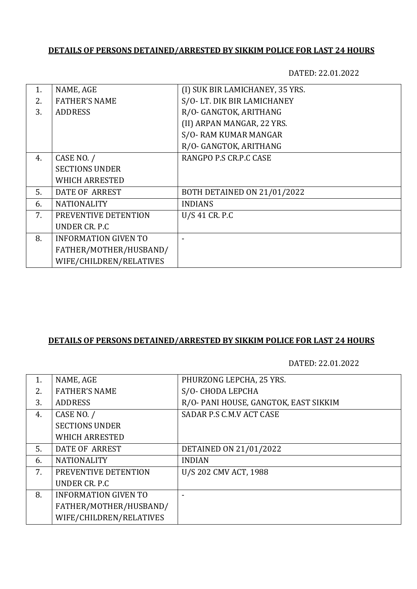## **DETAILS OF PERSONS DETAINED/ARRESTED BY SIKKIM POLICE FOR LAST 24 HOURS**

DATED: 22.01.2022

| 1. | NAME, AGE                   | (I) SUK BIR LAMICHANEY, 35 YRS. |
|----|-----------------------------|---------------------------------|
| 2. | <b>FATHER'S NAME</b>        | S/O-LT. DIK BIR LAMICHANEY      |
| 3. | <b>ADDRESS</b>              | R/O- GANGTOK, ARITHANG          |
|    |                             | (II) ARPAN MANGAR, 22 YRS.      |
|    |                             | S/O-RAM KUMAR MANGAR            |
|    |                             | R/O- GANGTOK, ARITHANG          |
| 4. | CASE NO. /                  | RANGPO P.S CR.P.C CASE          |
|    | <b>SECTIONS UNDER</b>       |                                 |
|    | <b>WHICH ARRESTED</b>       |                                 |
| 5. | DATE OF ARREST              | BOTH DETAINED ON 21/01/2022     |
| 6. | <b>NATIONALITY</b>          | <b>INDIANS</b>                  |
| 7. | PREVENTIVE DETENTION        | $U/S$ 41 CR. P.C                |
|    | UNDER CR. P.C.              |                                 |
| 8. | <b>INFORMATION GIVEN TO</b> |                                 |
|    | FATHER/MOTHER/HUSBAND/      |                                 |
|    | WIFE/CHILDREN/RELATIVES     |                                 |
|    |                             |                                 |

## **DETAILS OF PERSONS DETAINED/ARRESTED BY SIKKIM POLICE FOR LAST 24 HOURS**

DATED: 22.01.2022

| 1. | NAME, AGE                   | PHURZONG LEPCHA, 25 YRS.             |
|----|-----------------------------|--------------------------------------|
| 2. | <b>FATHER'S NAME</b>        | S/O-CHODA LEPCHA                     |
| 3. | <b>ADDRESS</b>              | R/O-PANI HOUSE, GANGTOK, EAST SIKKIM |
| 4. | CASE NO. /                  | SADAR P.S C.M.V ACT CASE             |
|    | <b>SECTIONS UNDER</b>       |                                      |
|    | <b>WHICH ARRESTED</b>       |                                      |
| 5. | DATE OF ARREST              | DETAINED ON 21/01/2022               |
| 6. | <b>NATIONALITY</b>          | <b>INDIAN</b>                        |
| 7. | PREVENTIVE DETENTION        | U/S 202 CMV ACT, 1988                |
|    | UNDER CR. P.C.              |                                      |
| 8. | <b>INFORMATION GIVEN TO</b> |                                      |
|    | FATHER/MOTHER/HUSBAND/      |                                      |
|    | WIFE/CHILDREN/RELATIVES     |                                      |